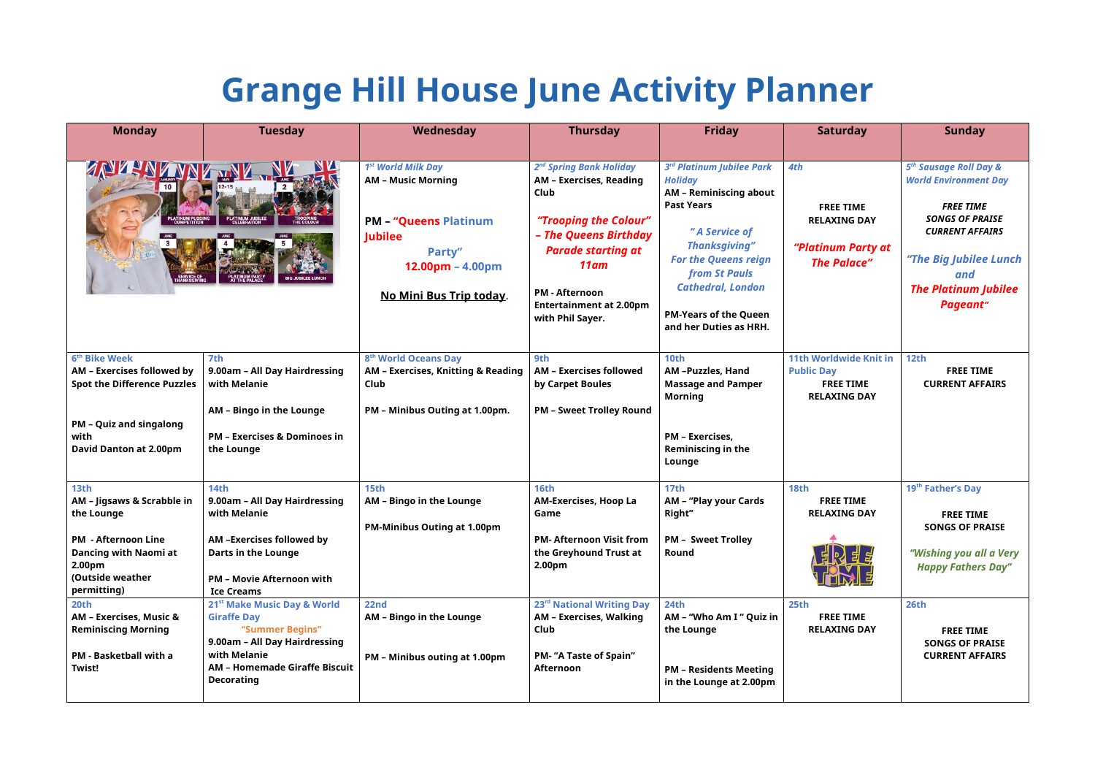## **Grange Hill House June Activity Planner**

| <b>Monday</b>                                                                                                                                                            | <b>Tuesday</b>                                                                                                                                                                                 | Wednesday                                                                                                                                                                       | <b>Thursday</b>                                                                                                                                                                                                                                 | <b>Friday</b>                                                                                                                                                                                                                                                                           | <b>Saturday</b>                                                                               | <b>Sunday</b>                                                                                                                                                                                                                 |
|--------------------------------------------------------------------------------------------------------------------------------------------------------------------------|------------------------------------------------------------------------------------------------------------------------------------------------------------------------------------------------|---------------------------------------------------------------------------------------------------------------------------------------------------------------------------------|-------------------------------------------------------------------------------------------------------------------------------------------------------------------------------------------------------------------------------------------------|-----------------------------------------------------------------------------------------------------------------------------------------------------------------------------------------------------------------------------------------------------------------------------------------|-----------------------------------------------------------------------------------------------|-------------------------------------------------------------------------------------------------------------------------------------------------------------------------------------------------------------------------------|
| <b>ANTEN ANNE WAL</b>                                                                                                                                                    |                                                                                                                                                                                                | 1 <sup>st</sup> World Milk Day<br><b>AM - Music Morning</b><br><b>PM - "Queens Platinum</b><br><b>Jubilee</b><br>Party"<br>$12.00pm - 4.00pm$<br><u>No Mini Bus Trip today.</u> | 2 <sup>nd</sup> Spring Bank Holiday<br>AM - Exercises, Reading<br>Club<br>"Trooping the Colour"<br>- The Queens Birthday<br><b>Parade starting at</b><br>$11$ am<br><b>PM - Afternoon</b><br><b>Entertainment at 2.00pm</b><br>with Phil Sayer. | 3rd Platinum Jubilee Park<br><b>Holiday</b><br><b>AM - Reminiscing about</b><br><b>Past Years</b><br>"A Service of<br><b>Thanksgiving"</b><br><b>For the Queens reign</b><br><b>from St Pauls</b><br><b>Cathedral, London</b><br><b>PM-Years of the Queen</b><br>and her Duties as HRH. | 4th<br><b>FREE TIME</b><br><b>RELAXING DAY</b><br>"Platinum Party at<br><b>The Palace"</b>    | 5 <sup>th</sup> Sausage Roll Day &<br><b>World Environment Day</b><br><b>FREE TIME</b><br><b>SONGS OF PRAISE</b><br><b>CURRENT AFFAIRS</b><br>"The Big Jubilee Lunch<br>and<br><b>The Platinum Jubilee</b><br><b>Pageant"</b> |
| 6 <sup>th</sup> Bike Week<br>AM - Exercises followed by<br><b>Spot the Difference Puzzles</b><br><b>PM - Quiz and singalong</b><br>with<br><b>David Danton at 2.00pm</b> | 7th<br>9.00am - All Day Hairdressing<br>with Melanie<br>AM - Bingo in the Lounge<br><b>PM - Exercises &amp; Dominoes in</b><br>the Lounge                                                      | 8 <sup>th</sup> World Oceans Day<br>AM - Exercises, Knitting & Reading<br>Club<br>PM - Minibus Outing at 1.00pm.                                                                | 9th<br><b>AM - Exercises followed</b><br>by Carpet Boules<br><b>PM - Sweet Trolley Round</b>                                                                                                                                                    | 10 <sub>th</sub><br>AM-Puzzles, Hand<br><b>Massage and Pamper</b><br><b>Morning</b><br><b>PM - Exercises,</b><br><b>Reminiscing in the</b><br>Lounge                                                                                                                                    | <b>11th Worldwide Knit in</b><br><b>Public Day</b><br><b>FREE TIME</b><br><b>RELAXING DAY</b> | 12th<br><b>FREE TIME</b><br><b>CURRENT AFFAIRS</b>                                                                                                                                                                            |
| 13th<br>AM - Jigsaws & Scrabble in<br>the Lounge<br><b>PM - Afternoon Line</b><br><b>Dancing with Naomi at</b><br>2.00 <sub>pm</sub><br>(Outside weather<br>permitting)  | 14th<br>9.00am - All Day Hairdressing<br>with Melanie<br>AM -Exercises followed by<br><b>Darts in the Lounge</b><br><b>PM - Movie Afternoon with</b><br><b>Ice Creams</b>                      | 15th<br>AM - Bingo in the Lounge<br><b>PM-Minibus Outing at 1.00pm</b>                                                                                                          | <b>16th</b><br>AM-Exercises, Hoop La<br>Game<br><b>PM-Afternoon Visit from</b><br>the Greyhound Trust at<br>2.00 <sub>pm</sub>                                                                                                                  | 17 <sub>th</sub><br>AM - "Play your Cards<br>Right"<br><b>PM - Sweet Trolley</b><br>Round                                                                                                                                                                                               | <b>18th</b><br><b>FREE TIME</b><br><b>RELAXING DAY</b>                                        | 19 <sup>th</sup> Father's Day<br><b>FREE TIME</b><br><b>SONGS OF PRAISE</b><br>"Wishing you all a Very<br><b>Happy Fathers Day"</b>                                                                                           |
| 20th<br><b>AM - Exercises, Music &amp;</b><br><b>Reminiscing Morning</b><br><b>PM - Basketball with a</b><br><b>Twist!</b>                                               | 21 <sup>st</sup> Make Music Day & World<br><b>Giraffe Day</b><br>"Summer Begins"<br>9.00am - All Day Hairdressing<br>with Melanie<br><b>AM - Homemade Giraffe Biscuit</b><br><b>Decorating</b> | <b>22nd</b><br>AM - Bingo in the Lounge<br><b>PM - Minibus outing at 1.00pm</b>                                                                                                 | 23 <sup>rd</sup> National Writing Day<br>AM - Exercises, Walking<br>Club<br><b>PM- "A Taste of Spain"</b><br><b>Afternoon</b>                                                                                                                   | <b>24th</b><br>AM - "Who Am I" Quiz in<br>the Lounge<br><b>PM - Residents Meeting</b><br>in the Lounge at 2.00pm                                                                                                                                                                        | 25th<br><b>FREE TIME</b><br><b>RELAXING DAY</b>                                               | 26th<br><b>FREE TIME</b><br><b>SONGS OF PRAISE</b><br><b>CURRENT AFFAIRS</b>                                                                                                                                                  |